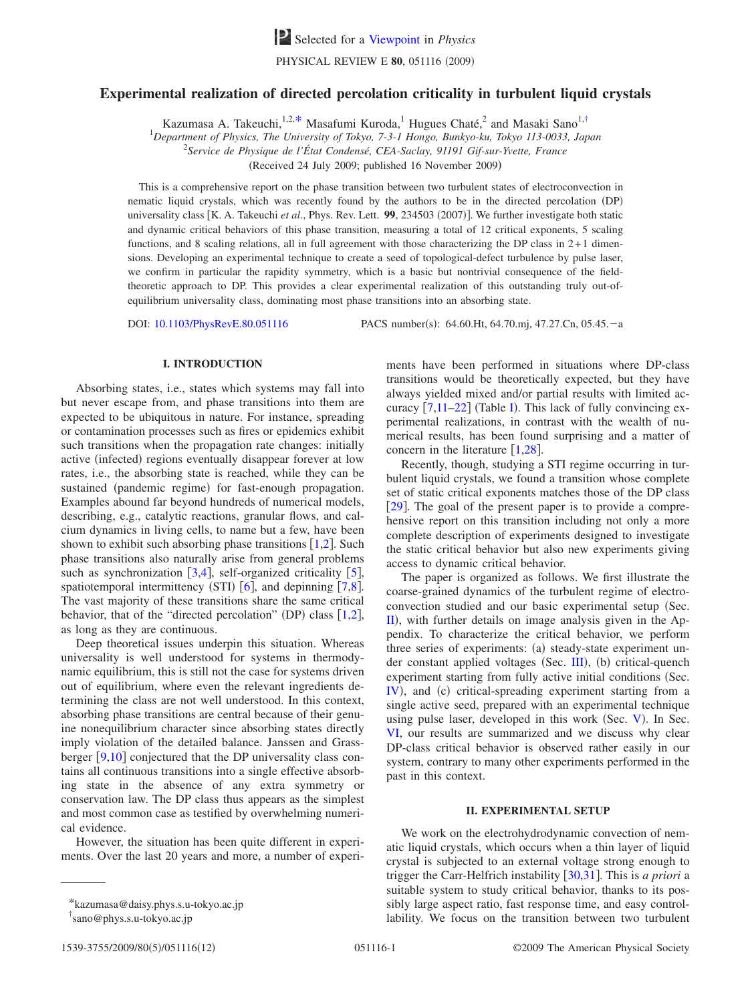# **Experimental realization of directed percolation criticality in turbulent liquid crystals**

Kazumasa A. Takeuchi,<sup>1,2[,\\*](#page-0-0)</sup> Masafumi Kuroda,<sup>1</sup> Hugues Chaté,<sup>2</sup> and Masaki Sano<sup>1[,†](#page-0-1)</sup>

1 *Department of Physics, The University of Tokyo, 7-3-1 Hongo, Bunkyo-ku, Tokyo 113-0033, Japan*

2 *Service de Physique de l'État Condensé, CEA-Saclay, 91191 Gif-sur-Yvette, France*

 $(Received 24$  July 2009; published 16 November 2009)

This is a comprehensive report on the phase transition between two turbulent states of electroconvection in nematic liquid crystals, which was recently found by the authors to be in the directed percolation (DP) universality class [K. A. Takeuchi *et al.*, Phys. Rev. Lett. 99, 234503 (2007)]. We further investigate both static and dynamic critical behaviors of this phase transition, measuring a total of 12 critical exponents, 5 scaling functions, and 8 scaling relations, all in full agreement with those characterizing the DP class in 2+1 dimensions. Developing an experimental technique to create a seed of topological-defect turbulence by pulse laser, we confirm in particular the rapidity symmetry, which is a basic but nontrivial consequence of the fieldtheoretic approach to DP. This provides a clear experimental realization of this outstanding truly out-ofequilibrium universality class, dominating most phase transitions into an absorbing state.

DOI: [10.1103/PhysRevE.80.051116](http://dx.doi.org/10.1103/PhysRevE.80.051116)

PACS number(s): 64.60.Ht, 64.70.mj, 47.27.Cn, 05.45.-a

## **I. INTRODUCTION**

Absorbing states, i.e., states which systems may fall into but never escape from, and phase transitions into them are expected to be ubiquitous in nature. For instance, spreading or contamination processes such as fires or epidemics exhibit such transitions when the propagation rate changes: initially active (infected) regions eventually disappear forever at low rates, i.e., the absorbing state is reached, while they can be sustained (pandemic regime) for fast-enough propagation. Examples abound far beyond hundreds of numerical models, describing, e.g., catalytic reactions, granular flows, and calcium dynamics in living cells, to name but a few, have been shown to exhibit such absorbing phase transitions  $[1,2]$  $[1,2]$  $[1,2]$  $[1,2]$ . Such phase transitions also naturally arise from general problems such as synchronization  $\lceil 3, 4 \rceil$  $\lceil 3, 4 \rceil$  $\lceil 3, 4 \rceil$ , self-organized criticality  $\lceil 5 \rceil$  $\lceil 5 \rceil$  $\lceil 5 \rceil$ , spatiotemporal intermittency (STI)  $[6]$  $[6]$  $[6]$ , and depinning  $[7,8]$  $[7,8]$  $[7,8]$  $[7,8]$ . The vast majority of these transitions share the same critical behavior, that of the "directed percolation" (DP) class  $[1,2]$  $[1,2]$  $[1,2]$  $[1,2]$ , as long as they are continuous.

Deep theoretical issues underpin this situation. Whereas universality is well understood for systems in thermodynamic equilibrium, this is still not the case for systems driven out of equilibrium, where even the relevant ingredients determining the class are not well understood. In this context, absorbing phase transitions are central because of their genuine nonequilibrium character since absorbing states directly imply violation of the detailed balance. Janssen and Grassberger  $[9,10]$  $[9,10]$  $[9,10]$  $[9,10]$  conjectured that the DP universality class contains all continuous transitions into a single effective absorbing state in the absence of any extra symmetry or conservation law. The DP class thus appears as the simplest and most common case as testified by overwhelming numerical evidence.

However, the situation has been quite different in experiments. Over the last 20 years and more, a number of experiments have been performed in situations where DP-class transitions would be theoretically expected, but they have always yielded mixed and/or partial results with limited accuracy  $[7,11-22]$  $[7,11-22]$  $[7,11-22]$  $[7,11-22]$  $[7,11-22]$  (Table [I](#page-1-0)). This lack of fully convincing experimental realizations, in contrast with the wealth of numerical results, has been found surprising and a matter of concern in the literature  $\lceil 1, 28 \rceil$  $\lceil 1, 28 \rceil$  $\lceil 1, 28 \rceil$  $\lceil 1, 28 \rceil$  $\lceil 1, 28 \rceil$ .

Recently, though, studying a STI regime occurring in turbulent liquid crystals, we found a transition whose complete set of static critical exponents matches those of the DP class [[29](#page-11-2)]. The goal of the present paper is to provide a comprehensive report on this transition including not only a more complete description of experiments designed to investigate the static critical behavior but also new experiments giving access to dynamic critical behavior.

The paper is organized as follows. We first illustrate the coarse-grained dynamics of the turbulent regime of electroconvection studied and our basic experimental setup (Sec. [II](#page-0-2)), with further details on image analysis given in the Appendix. To characterize the critical behavior, we perform three series of experiments: (a) steady-state experiment un-der constant applied voltages (Sec. [III](#page-2-0)), (b) critical-quench experiment starting from fully active initial conditions (Sec. [IV](#page-5-0)), and (c) critical-spreading experiment starting from a single active seed, prepared with an experimental technique using pulse laser, developed in this work (Sec. [V](#page-6-0)). In Sec. [VI,](#page-8-0) our results are summarized and we discuss why clear DP-class critical behavior is observed rather easily in our system, contrary to many other experiments performed in the past in this context.

## **II. EXPERIMENTAL SETUP**

<span id="page-0-2"></span>We work on the electrohydrodynamic convection of nematic liquid crystals, which occurs when a thin layer of liquid crystal is subjected to an external voltage strong enough to trigger the Carr-Helfrich instability [30](#page-11-3)[,31](#page-11-4). This is *a priori* a suitable system to study critical behavior, thanks to its possibly large aspect ratio, fast response time, and easy controllability. We focus on the transition between two turbulent

<span id="page-0-0"></span><sup>\*</sup>kazumasa@daisy.phys.s.u-tokyo.ac.jp

<span id="page-0-1"></span><sup>†</sup> sano@phys.s.u-tokyo.ac.jp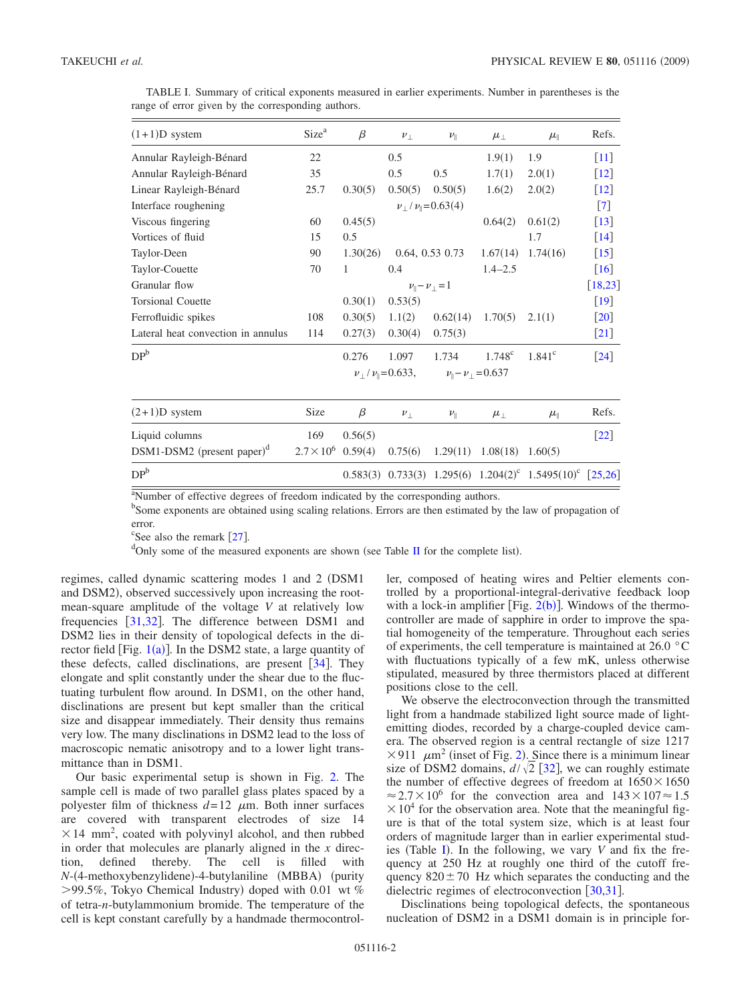| $(1+1)D$ system                           | Size <sup>a</sup>   | $\beta$                                 | $\nu_\perp$   | $\nu_{\parallel}$                       | $\mu_{\perp}$ | $\mu_{\parallel}$                                                 | Refs.     |
|-------------------------------------------|---------------------|-----------------------------------------|---------------|-----------------------------------------|---------------|-------------------------------------------------------------------|-----------|
| Annular Rayleigh-Bénard                   | 22                  |                                         | 0.5           |                                         | 1.9(1)        | 1.9                                                               | $[11]$    |
| Annular Rayleigh-Bénard                   | 35                  |                                         | 0.5           | 0.5                                     | 1.7(1)        | 2.0(1)                                                            | $[12]$    |
| Linear Rayleigh-Bénard                    | 25.7                | 0.30(5)                                 | 0.50(5)       | 0.50(5)                                 | 1.6(2)        | 2.0(2)                                                            | $[12]$    |
| Interface roughening                      |                     | $\nu_{\perp}/\nu_{\parallel} = 0.63(4)$ |               |                                         |               | $[7]$                                                             |           |
| Viscous fingering                         | 60                  | 0.45(5)                                 |               |                                         | 0.64(2)       | 0.61(2)                                                           | $[13]$    |
| Vortices of fluid                         | 15                  | 0.5                                     |               |                                         |               | 1.7                                                               | $[14]$    |
| Taylor-Deen                               | 90                  | 1.30(26)                                |               | 0.64, 0.53 0.73                         | 1.67(14)      | 1.74(16)                                                          | $[15]$    |
| Taylor-Couette                            | 70                  | 1                                       | 0.4           |                                         | $1.4 - 2.5$   |                                                                   | $[16]$    |
| Granular flow                             |                     | $\nu_{\parallel} - \nu_{\perp} = 1$     |               |                                         |               |                                                                   | $[18,23]$ |
| <b>Torsional Couette</b>                  |                     | 0.30(1)                                 | 0.53(5)       |                                         |               |                                                                   | $[19]$    |
| Ferrofluidic spikes                       | 108                 | 0.30(5)                                 | 1.1(2)        | 0.62(14)                                | 1.70(5)       | 2.1(1)                                                            | $[20]$    |
| Lateral heat convection in annulus        | 114                 | 0.27(3)                                 | 0.30(4)       | 0.75(3)                                 |               |                                                                   | $[21]$    |
| $DP^b$                                    |                     | 0.276                                   | 1.097         | 1.734                                   | $1.748^c$     | $1.841^{\circ}$                                                   | $[24]$    |
|                                           |                     | $\nu_{\perp}/\nu_{\parallel} = 0.633,$  |               | $\nu_{\parallel} - \nu_{\perp} = 0.637$ |               |                                                                   |           |
| $(2+1)D$ system                           | Size                | β                                       | $\nu_{\perp}$ | $\nu_{\parallel}$                       | $\mu_{\perp}$ | $\mu_{\parallel}$                                                 | Refs.     |
| Liquid columns                            | 169                 | 0.56(5)                                 |               |                                         |               |                                                                   | $[22]$    |
| $DSM1$ -DSM2 (present paper) <sup>d</sup> | $2.7 \times 10^{6}$ | 0.59(4)                                 | 0.75(6)       | 1.29(11)                                | 1.08(18)      | 1.60(5)                                                           |           |
| DP <sup>b</sup>                           |                     | 0.583(3)                                |               |                                         |               | $0.733(3)$ 1.295(6) 1.204(2) <sup>c</sup> 1.5495(10) <sup>c</sup> | [25, 26]  |

<span id="page-1-0"></span>TABLE I. Summary of critical exponents measured in earlier experiments. Number in parentheses is the range of error given by the corresponding authors.

<sup>a</sup>Number of effective degrees of freedom indicated by the corresponding authors.

<sup>b</sup>Some exponents are obtained using scaling relations. Errors are then estimated by the law of propagation of error.

<sup>c</sup>See also the remark  $[27]$  $[27]$  $[27]$ .

Only some of the measured exponents are shown (see Table  $II$  for the complete list).

regimes, called dynamic scattering modes 1 and 2 (DSM1) and DSM2), observed successively upon increasing the rootmean-square amplitude of the voltage *V* at relatively low frequencies  $\left[31,32\right]$  $\left[31,32\right]$  $\left[31,32\right]$  $\left[31,32\right]$ . The difference between DSM1 and DSM2 lies in their density of topological defects in the director field  $[Fig. 1(a)]$  $[Fig. 1(a)]$  $[Fig. 1(a)]$ . In the DSM2 state, a large quantity of these defects, called disclinations, are present [[34](#page-11-6)]. They elongate and split constantly under the shear due to the fluctuating turbulent flow around. In DSM1, on the other hand, disclinations are present but kept smaller than the critical size and disappear immediately. Their density thus remains very low. The many disclinations in DSM2 lead to the loss of macroscopic nematic anisotropy and to a lower light transmittance than in DSM1.

Our basic experimental setup is shown in Fig. [2.](#page-2-2) The sample cell is made of two parallel glass plates spaced by a polyester film of thickness  $d=12$   $\mu$ m. Both inner surfaces are covered with transparent electrodes of size 14  $\times$  14 mm<sup>2</sup>, coated with polyvinyl alcohol, and then rubbed in order that molecules are planarly aligned in the  $x$  direction, defined thereby. The cell is filled with tion, defined thereby. The cell is filled with N-(4-methoxybenzylidene)-4-butylaniline (MBBA) (purity >99.5%, Tokyo Chemical Industry) doped with 0.01 wt % of tetra-*n*-butylammonium bromide. The temperature of the cell is kept constant carefully by a handmade thermocontroller, composed of heating wires and Peltier elements controlled by a proportional-integral-derivative feedback loop with a lock-in amplifier [Fig.  $2(b)$  $2(b)$ ]. Windows of the thermocontroller are made of sapphire in order to improve the spatial homogeneity of the temperature. Throughout each series of experiments, the cell temperature is maintained at 26.0 °C with fluctuations typically of a few mK, unless otherwise stipulated, measured by three thermistors placed at different positions close to the cell.

We observe the electroconvection through the transmitted light from a handmade stabilized light source made of lightemitting diodes, recorded by a charge-coupled device camera. The observed region is a central rectangle of size 1217 × 911  $\mu$ m<sup>[2](#page-2-2)</sup> (inset of Fig. 2). Since there is a minimum linear size of DSM2 domains,  $d/\sqrt{2}$  [[32](#page-11-5)], we can roughly estimate the number of effective degrees of freedom at  $1650 \times 1650$  $\approx$  2.7  $\times$  10<sup>6</sup> for the convection area and  $143\times107\approx1.5$  $\times$  10<sup>4</sup> for the observation area. Note that the meaningful figure is that of the total system size, which is at least four orders of magnitude larger than in earlier experimental stud-ies (Table [I](#page-1-0)). In the following, we vary  $V$  and fix the frequency at 250 Hz at roughly one third of the cutoff frequency  $820 \pm 70$  Hz which separates the conducting and the dielectric regimes of electroconvection  $[30,31]$  $[30,31]$  $[30,31]$  $[30,31]$ .

Disclinations being topological defects, the spontaneous nucleation of DSM2 in a DSM1 domain is in principle for-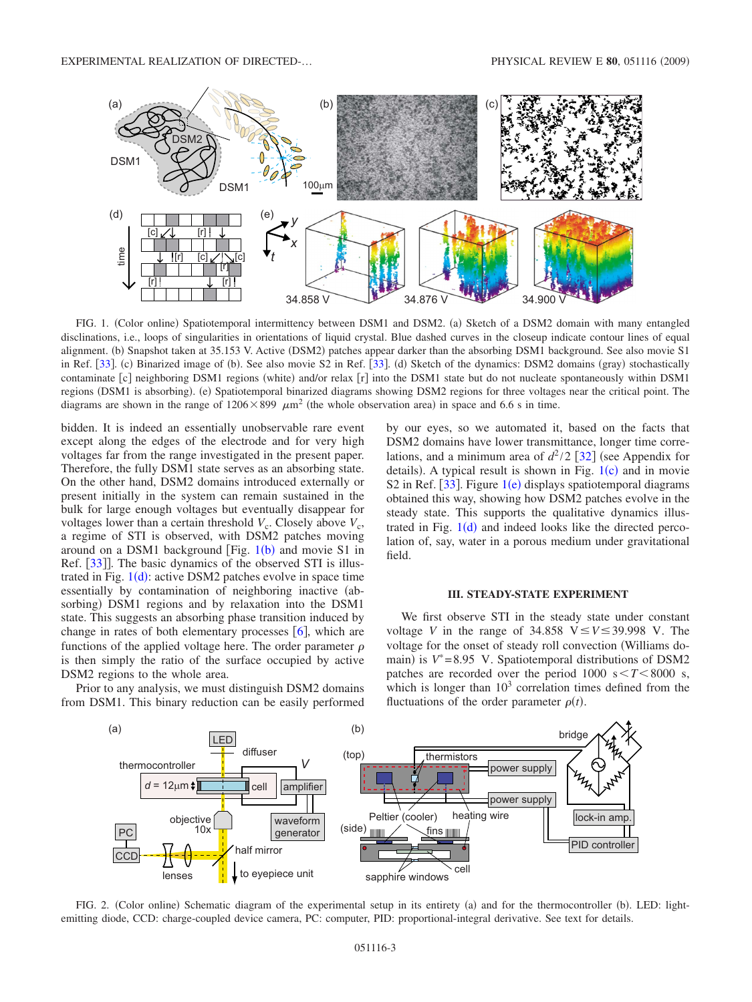<span id="page-2-1"></span>

FIG. 1. (Color online) Spatiotemporal intermittency between DSM1 and DSM2. (a) Sketch of a DSM2 domain with many entangled disclinations, i.e., loops of singularities in orientations of liquid crystal. Blue dashed curves in the closeup indicate contour lines of equal alignment. (b) Snapshot taken at 35.153 V. Active (DSM2) patches appear darker than the absorbing DSM1 background. See also movie S1 in Ref. [[33](#page-11-16)]. (c) Binarized image of (b). See also movie S2 in Ref. [33]. (d) Sketch of the dynamics: DSM2 domains (gray) stochastically contaminate [c] neighboring DSM1 regions (white) and/or relax [r] into the DSM1 state but do not nucleate spontaneously within DSM1 regions (DSM1 is absorbing). (e) Spatiotemporal binarized diagrams showing DSM2 regions for three voltages near the critical point. The diagrams are shown in the range of  $1206 \times 899$   $\mu$ m<sup>2</sup> (the whole observation area) in space and 6.6 s in time.

bidden. It is indeed an essentially unobservable rare event except along the edges of the electrode and for very high voltages far from the range investigated in the present paper. Therefore, the fully DSM1 state serves as an absorbing state. On the other hand, DSM2 domains introduced externally or present initially in the system can remain sustained in the bulk for large enough voltages but eventually disappear for voltages lower than a certain threshold  $V_c$ . Closely above  $V_c$ , a regime of STI is observed, with DSM2 patches moving around on a DSM[1](#page-2-1) background [Fig.  $1(b)$  and movie S1 in Ref. [[33](#page-11-16)]. The basic dynamics of the observed STI is illustrated in Fig.  $1(d)$  $1(d)$ : active DSM2 patches evolve in space time essentially by contamination of neighboring inactive (absorbing) DSM1 regions and by relaxation into the DSM1 state. This suggests an absorbing phase transition induced by change in rates of both elementary processes  $[6]$  $[6]$  $[6]$ , which are functions of the applied voltage here. The order parameter  $\rho$ is then simply the ratio of the surface occupied by active DSM2 regions to the whole area.

<span id="page-2-2"></span>Prior to any analysis, we must distinguish DSM2 domains from DSM1. This binary reduction can be easily performed by our eyes, so we automated it, based on the facts that DSM2 domains have lower transmittance, longer time correlations, and a minimum area of  $d^2/2$  [[32](#page-11-5)] (see Appendix for details). A typical result is shown in Fig.  $1(c)$  $1(c)$  and in movie S2 in Ref. [[33](#page-11-16)]. Figure  $1(e)$  $1(e)$  displays spatiotemporal diagrams obtained this way, showing how DSM2 patches evolve in the steady state. This supports the qualitative dynamics illustrated in Fig.  $1(d)$  $1(d)$  and indeed looks like the directed percolation of, say, water in a porous medium under gravitational field.

#### **III. STEADY-STATE EXPERIMENT**

<span id="page-2-0"></span>We first observe STI in the steady state under constant voltage *V* in the range of 34.858  $V \le V \le 39.998$  V. The voltage for the onset of steady roll convection Williams domain) is  $V^* = 8.95$  V. Spatiotemporal distributions of DSM2 patches are recorded over the period  $1000 \text{ s} < T < 8000 \text{ s}$ , which is longer than  $10<sup>3</sup>$  correlation times defined from the fluctuations of the order parameter  $\rho(t)$ .



FIG. 2. (Color online) Schematic diagram of the experimental setup in its entirety (a) and for the thermocontroller (b). LED: lightemitting diode, CCD: charge-coupled device camera, PC: computer, PID: proportional-integral derivative. See text for details.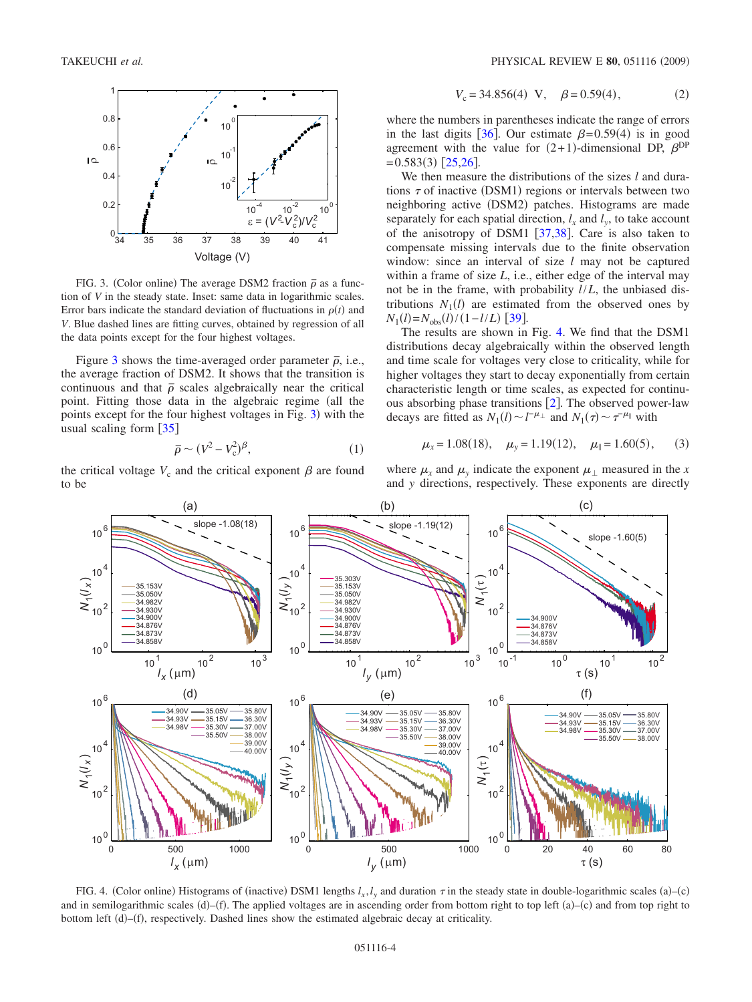<span id="page-3-0"></span>

FIG. 3. (Color online) The average DSM2 fraction  $\bar{\rho}$  as a function of *V* in the steady state. Inset: same data in logarithmic scales. Error bars indicate the standard deviation of fluctuations in  $\rho(t)$  and *V*. Blue dashed lines are fitting curves, obtained by regression of all the data points except for the four highest voltages.

Figure [3](#page-3-0) shows the time-averaged order parameter  $\bar{\rho}$ , i.e., the average fraction of DSM2. It shows that the transition is continuous and that  $\bar{\rho}$  scales algebraically near the critical point. Fitting those data in the algebraic regime (all the points except for the four highest voltages in Fig. [3](#page-3-0)) with the usual scaling form [[35](#page-11-17)]

$$
\overline{\rho} \sim (V^2 - V_c^2)^{\beta},\tag{1}
$$

the critical voltage  $V_c$  and the critical exponent  $\beta$  are found to be

$$
V_c = 34.856(4) \text{ V}, \quad \beta = 0.59(4), \tag{2}
$$

<span id="page-3-3"></span>where the numbers in parentheses indicate the range of errors in the last digits [[36](#page-11-18)]. Our estimate  $\beta = 0.59(4)$  is in good agreement with the value for  $(2+1)$ -dimensional DP,  $\beta^{\text{DP}}$  $= 0.583(3)$  [[25](#page-11-13)[,26](#page-11-14)].

We then measure the distributions of the sizes *l* and durations  $\tau$  of inactive (DSM1) regions or intervals between two neighboring active (DSM2) patches. Histograms are made separately for each spatial direction,  $l_x$  and  $l_y$ , to take account of the anisotropy of DSM1  $\left[37,38\right]$  $\left[37,38\right]$  $\left[37,38\right]$  $\left[37,38\right]$ . Care is also taken to compensate missing intervals due to the finite observation window: since an interval of size *l* may not be captured within a frame of size *L*, i.e., either edge of the interval may not be in the frame, with probability *l*/*L*, the unbiased distributions  $N_1(l)$  are estimated from the observed ones by  $N_1(l) = N_{\text{obs}}(l)/(1 - l/L)$  [[39](#page-11-21)].

The results are shown in Fig. [4.](#page-3-1) We find that the DSM1 distributions decay algebraically within the observed length and time scale for voltages very close to criticality, while for higher voltages they start to decay exponentially from certain characteristic length or time scales, as expected for continu-ous absorbing phase transitions [[2](#page-10-1)]. The observed power-law decays are fitted as  $N_1(l) \sim l^{-\mu_{\perp}}$  and  $N_1(\tau) \sim \tau^{-\mu_{\parallel}}$  with

$$
\mu_x = 1.08(18), \quad \mu_y = 1.19(12), \quad \mu_{\parallel} = 1.60(5), \quad (3)
$$

<span id="page-3-2"></span>where  $\mu_x$  and  $\mu_y$  indicate the exponent  $\mu_{\perp}$  measured in the *x* and *y* directions, respectively. These exponents are directly

<span id="page-3-1"></span>

FIG. 4. (Color online) Histograms of (inactive) DSM1 lengths  $l_x, l_y$  and duration  $\tau$  in the steady state in double-logarithmic scales (a)–(c) and in semilogarithmic scales  $(d)$ –(f). The applied voltages are in ascending order from bottom right to top left  $(a)$ –(c) and from top right to bottom left (d)-(f), respectively. Dashed lines show the estimated algebraic decay at criticality.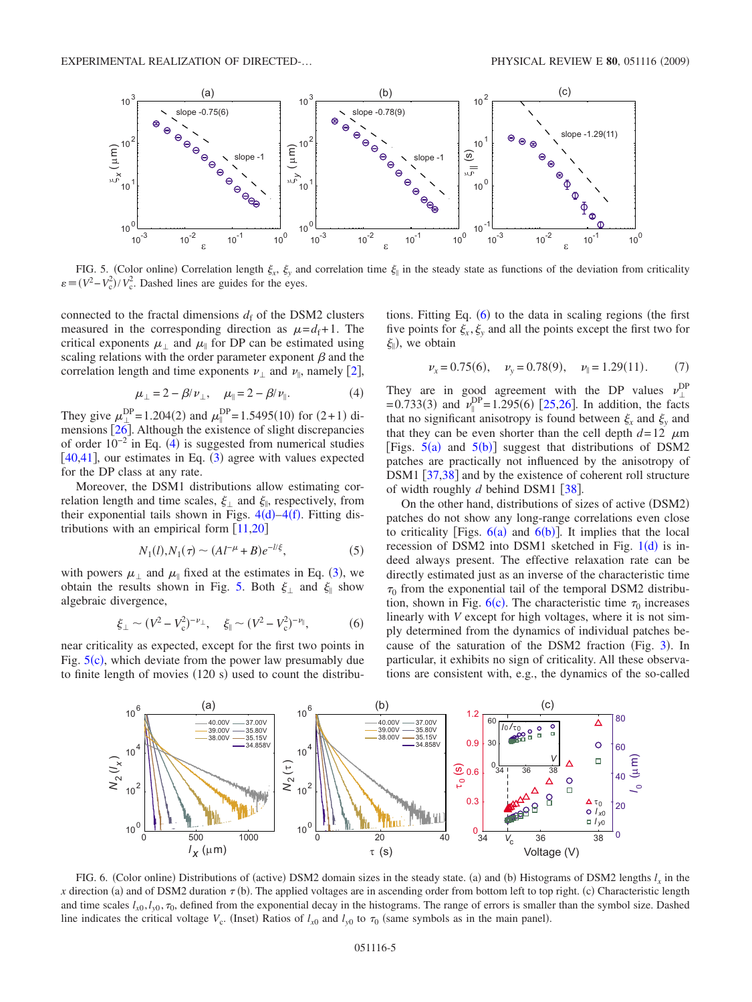<span id="page-4-1"></span>

FIG. 5. (Color online) Correlation length  $\xi_x$ ,  $\xi_y$  and correlation time  $\xi_{\parallel}$  in the steady state as functions of the deviation from criticality  $\varepsilon = (V^2 - V_c^2)/V_c^2$ . Dashed lines are guides for the eyes.

connected to the fractal dimensions  $d_f$  of the DSM2 clusters measured in the corresponding direction as  $\mu = d_f + 1$ . The critical exponents  $\mu_{\perp}$  and  $\mu_{\parallel}$  for DP can be estimated using scaling relations with the order parameter exponent  $\beta$  and the correlation length and time exponents  $\nu_{\perp}$  and  $\nu_{\parallel}$ , namely [[2](#page-10-1)],

$$
\mu_{\perp} = 2 - \beta / \nu_{\perp}, \quad \mu_{\parallel} = 2 - \beta / \nu_{\parallel}. \tag{4}
$$

<span id="page-4-0"></span>They give  $\mu_{\perp}^{\text{DP}} = 1.204(2)$  and  $\mu_{\parallel}^{\text{DP}} = 1.5495(10)$  for  $(2+1)$  dimensions  $\overline{[26]}$  $\overline{[26]}$  $\overline{[26]}$ . Although the existence of slight discrepancies of order  $10^{-2}$  in Eq. ([4](#page-4-0)) is suggested from numerical studies  $[40,41]$  $[40,41]$  $[40,41]$  $[40,41]$ , our estimates in Eq.  $(3)$  $(3)$  $(3)$  agree with values expected for the DP class at any rate.

Moreover, the DSM1 distributions allow estimating correlation length and time scales,  $\xi_{\perp}$  and  $\xi_{\parallel}$ , respectively, from their exponential tails shown in Figs.  $4(d) - 4(f)$  $4(d) - 4(f)$ . Fitting distributions with an empirical form  $[11,20]$  $[11,20]$  $[11,20]$  $[11,20]$ 

$$
N_1(l), N_1(\tau) \sim (Al^{-\mu} + B)e^{-l/\xi}, \tag{5}
$$

with powers  $\mu_{\perp}$  and  $\mu_{\parallel}$  fixed at the estimates in Eq. ([3](#page-3-2)), we obtain the results shown in Fig. [5.](#page-4-1) Both  $\xi_{\perp}$  and  $\xi_{\parallel}$  show algebraic divergence,

$$
\xi_{\perp} \sim (V^2 - V_c^2)^{-\nu_{\perp}}, \quad \xi_{\parallel} \sim (V^2 - V_c^2)^{-\nu_{\parallel}},
$$
 (6)

<span id="page-4-2"></span>near criticality as expected, except for the first two points in Fig.  $5(c)$  $5(c)$ , which deviate from the power law presumably due to finite length of movies  $(120 s)$  used to count the distribu-

tions. Fitting Eq.  $(6)$  $(6)$  $(6)$  to the data in scaling regions (the first five points for  $\xi_x, \xi_y$  and all the points except the first two for  $\xi_{\parallel}$ ), we obtain

$$
\nu_x = 0.75(6), \quad \nu_y = 0.78(9), \quad \nu_{\parallel} = 1.29(11). \tag{7}
$$

<span id="page-4-4"></span>They are in good agreement with the DP values  $v_{\perp}^{\text{DP}}$  $= 0.733(3)$  and  $\nu_{\parallel}^{DP} = 1.295(6)$  [[25,](#page-11-13)[26](#page-11-14)]. In addition, the facts that no significant anisotropy is found between  $\xi$  and  $\xi$  and that they can be even shorter than the cell depth  $d=12$   $\mu$ m [Figs.  $5(a)$  $5(a)$  and  $5(b)$ ] suggest that distributions of DSM2 patches are practically not influenced by the anisotropy of DSM1 [[37,](#page-11-19)[38](#page-11-20)] and by the existence of coherent roll structure of width roughly  $d$  behind DSM1  $\lceil 38 \rceil$  $\lceil 38 \rceil$  $\lceil 38 \rceil$ .

On the other hand, distributions of sizes of active (DSM2) patches do not show any long-range correlations even close to criticality [Figs.  $6(a)$  $6(a)$  and  $6(b)$ ]. It implies that the local recession of DSM2 into DSM[1](#page-2-1) sketched in Fig.  $1(d)$  is indeed always present. The effective relaxation rate can be directly estimated just as an inverse of the characteristic time  $\tau_0$  from the exponential tail of the temporal DSM2 distribution, shown in Fig.  $6(c)$  $6(c)$ . The characteristic time  $\tau_0$  increases linearly with *V* except for high voltages, where it is not simply determined from the dynamics of individual patches be-cause of the saturation of the DSM2 fraction (Fig. [3](#page-3-0)). In particular, it exhibits no sign of criticality. All these observations are consistent with, e.g., the dynamics of the so-called

<span id="page-4-3"></span>

FIG. 6. (Color online) Distributions of (active) DSM2 domain sizes in the steady state. (a) and (b) Histograms of DSM2 lengths  $l_x$  in the x direction (a) and of DSM2 duration  $\tau$  (b). The applied voltages are in ascending order from bottom left to top right. (c) Characteristic length and time scales  $l_{x0}$ ,  $l_{y0}$ ,  $\tau_0$ , defined from the exponential decay in the histograms. The range of errors is smaller than the symbol size. Dashed line indicates the critical voltage  $V_c$ . (Inset) Ratios of  $l_{x0}$  and  $l_{y0}$  to  $\tau_0$  (same symbols as in the main panel).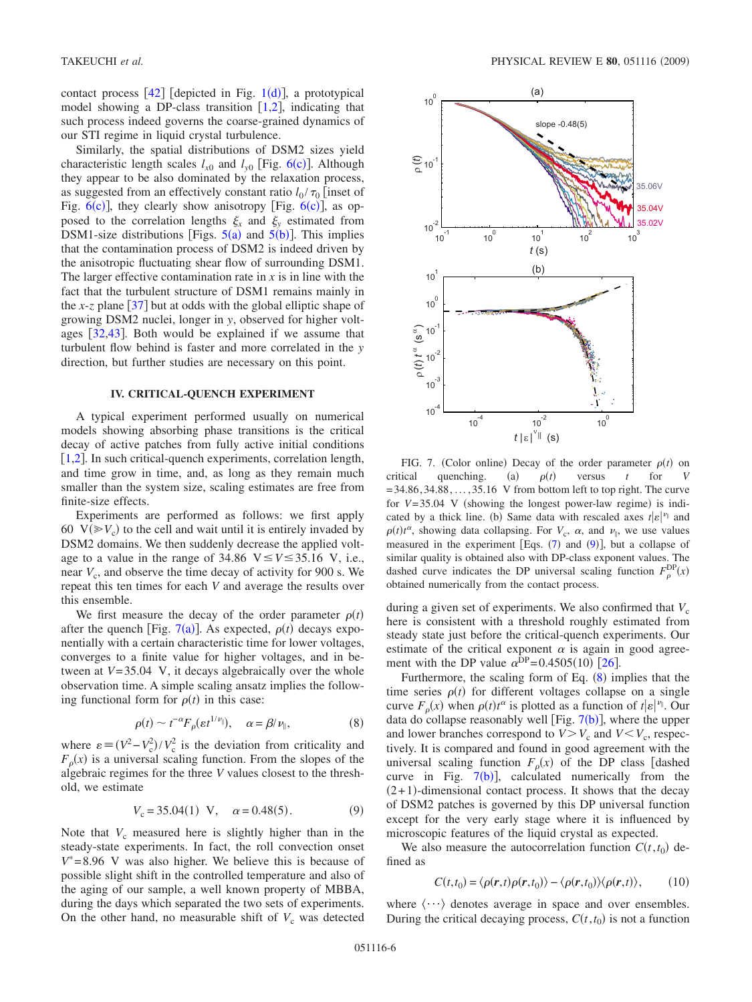contact process  $[42]$  $[42]$  $[42]$  [depicted in Fig. [1](#page-2-1)(d)], a prototypical model showing a DP-class transition  $[1,2]$  $[1,2]$  $[1,2]$  $[1,2]$ , indicating that such process indeed governs the coarse-grained dynamics of our STI regime in liquid crystal turbulence.

Similarly, the spatial distributions of DSM2 sizes yield characteristic length scales  $l_{x0}$  and  $l_{y0}$  [Fig. [6](#page-4-3)(c)]. Although they appear to be also dominated by the relaxation process, as suggested from an effectively constant ratio  $l_0 / \tau_0$  [inset of Fig.  $6(c)$  $6(c)$ ], they clearly show anisotropy [Fig.  $6(c)$ ], as opposed to the correlation lengths  $\xi_x$  and  $\xi_y$  estimated from DSM1-size distributions [Figs.  $5(a)$  $5(a)$  and  $5(b)$ ]. This implies that the contamination process of DSM2 is indeed driven by the anisotropic fluctuating shear flow of surrounding DSM1. The larger effective contamination rate in *x* is in line with the fact that the turbulent structure of DSM1 remains mainly in the *x*-*z* plane  $\lceil 37 \rceil$  $\lceil 37 \rceil$  $\lceil 37 \rceil$  but at odds with the global elliptic shape of growing DSM2 nuclei, longer in *y*, observed for higher voltages  $\lceil 32,43 \rceil$  $\lceil 32,43 \rceil$  $\lceil 32,43 \rceil$  $\lceil 32,43 \rceil$ . Both would be explained if we assume that turbulent flow behind is faster and more correlated in the *y* direction, but further studies are necessary on this point.

### **IV. CRITICAL-QUENCH EXPERIMENT**

<span id="page-5-0"></span>A typical experiment performed usually on numerical models showing absorbing phase transitions is the critical decay of active patches from fully active initial conditions  $[1,2]$  $[1,2]$  $[1,2]$  $[1,2]$ . In such critical-quench experiments, correlation length, and time grow in time, and, as long as they remain much smaller than the system size, scaling estimates are free from finite-size effects.

Experiments are performed as follows: we first apply 60  $V(\gg V_c)$  to the cell and wait until it is entirely invaded by DSM2 domains. We then suddenly decrease the applied voltage to a value in the range of 34.86  $V \le V \le 35.16$  V, i.e., near  $V_c$ , and observe the time decay of activity for 900 s. We repeat this ten times for each *V* and average the results over this ensemble.

We first measure the decay of the order parameter  $\rho(t)$ after the quench [Fig.  $7(a)$  $7(a)$ ]. As expected,  $\rho(t)$  decays exponentially with a certain characteristic time for lower voltages, converges to a finite value for higher voltages, and in between at *V*=35.04 V, it decays algebraically over the whole observation time. A simple scaling ansatz implies the following functional form for  $\rho(t)$  in this case:

$$
\rho(t) \sim t^{-\alpha} F_{\rho}(\varepsilon t^{1/\nu_{\parallel}}), \quad \alpha = \beta/\nu_{\parallel}, \tag{8}
$$

<span id="page-5-2"></span>where  $\varepsilon = (V^2 - V_c^2)/V_c^2$  is the deviation from criticality and  $F_{\rho}(x)$  is a universal scaling function. From the slopes of the algebraic regimes for the three *V* values closest to the threshold, we estimate

$$
V_c = 35.04(1) \text{ V}, \quad \alpha = 0.48(5). \tag{9}
$$

<span id="page-5-3"></span>Note that  $V_c$  measured here is slightly higher than in the steady-state experiments. In fact, the roll convection onset  $V^* = 8.96$  V was also higher. We believe this is because of possible slight shift in the controlled temperature and also of the aging of our sample, a well known property of MBBA, during the days which separated the two sets of experiments. On the other hand, no measurable shift of  $V_c$  was detected

<span id="page-5-1"></span>

FIG. 7. (Color online) Decay of the order parameter  $\rho(t)$  on  $critical$  quenching.  $(a)$  $\rho(t)$  versus *t* for *V*  $=34.86, 34.88, \ldots, 35.16$  V from bottom left to top right. The curve for  $V=35.04$  V (showing the longest power-law regime) is indicated by a thick line. (b) Same data with rescaled axes  $t | \varepsilon |^{v_{\parallel}}$  and  $\rho(t)t^{\alpha}$ , showing data collapsing. For  $V_c$ ,  $\alpha$ , and  $\nu_{\parallel}$ , we use values measured in the experiment [Eqs.  $(7)$  $(7)$  $(7)$  and  $(9)$  $(9)$  $(9)$ ], but a collapse of similar quality is obtained also with DP-class exponent values. The dashed curve indicates the DP universal scaling function  $F_{\rho}^{\text{DP}}(x)$ obtained numerically from the contact process.

during a given set of experiments. We also confirmed that  $V_c$ here is consistent with a threshold roughly estimated from steady state just before the critical-quench experiments. Our estimate of the critical exponent  $\alpha$  is again in good agreement with the DP value  $\alpha^{\text{DP}}=0.4505(10)$  [[26](#page-11-14)].

Furthermore, the scaling form of Eq.  $(8)$  $(8)$  $(8)$  implies that the time series  $\rho(t)$  for different voltages collapse on a single curve  $F_{\rho}(x)$  when  $\rho(t)t^{\alpha}$  is plotted as a function of  $t|\varepsilon|^{\nu_{\parallel}}$ . Our data do collapse reasonably well [Fig.  $7(b)$  $7(b)$ ], where the upper and lower branches correspond to  $V > V_c$  and  $V < V_c$ , respectively. It is compared and found in good agreement with the universal scaling function  $F_{\rho}(x)$  of the DP class [dashed curve in Fig.  $7(b)$  $7(b)$ ], calculated numerically from the  $(2+1)$ -dimensional contact process. It shows that the decay of DSM2 patches is governed by this DP universal function except for the very early stage where it is influenced by microscopic features of the liquid crystal as expected.

We also measure the autocorrelation function  $C(t, t_0)$  defined as

$$
C(t,t_0) = \langle \rho(\mathbf{r},t)\rho(\mathbf{r},t_0) \rangle - \langle \rho(\mathbf{r},t_0) \rangle \langle \rho(\mathbf{r},t) \rangle, \qquad (10)
$$

where  $\langle \cdots \rangle$  denotes average in space and over ensembles. During the critical decaying process,  $C(t, t_0)$  is not a function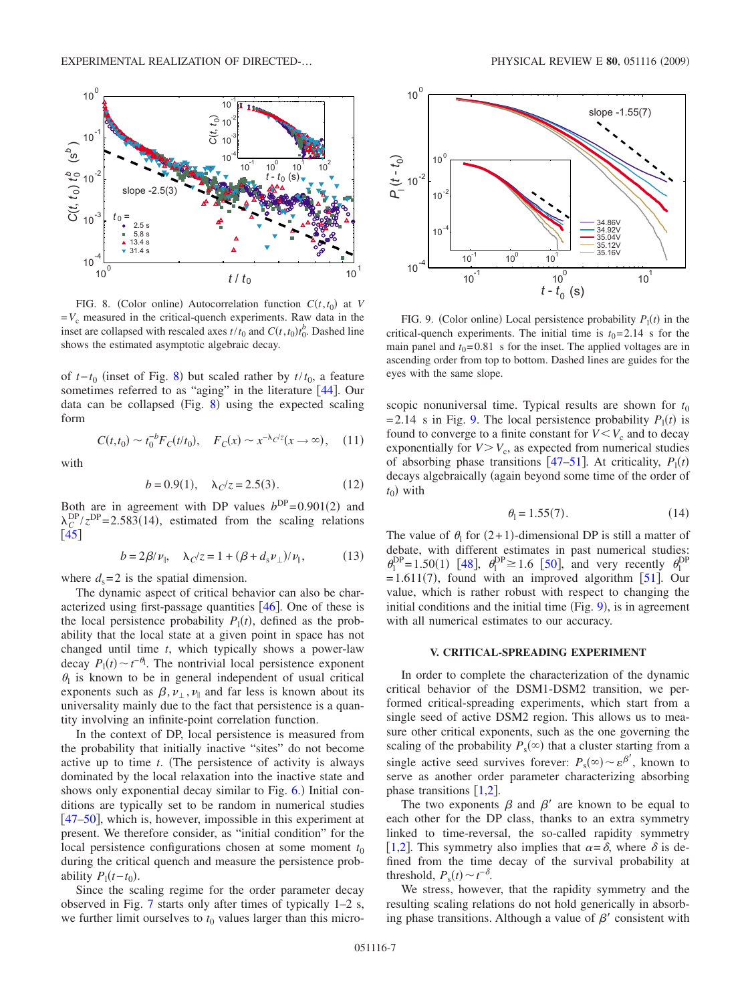<span id="page-6-1"></span>

FIG. 8. (Color online) Autocorrelation function  $C(t, t_0)$  at *V*  $=V_c$  measured in the critical-quench experiments. Raw data in the inset are collapsed with rescaled axes  $t/t_0$  and  $C(t, t_0)t_0^b$ . Dashed line shows the estimated asymptotic algebraic decay.

of *t*−*t*<sub>0</sub> (inset of Fig. [8](#page-6-1)) but scaled rather by  $t/t_0$ , a feature sometimes referred to as "aging" in the literature  $[44]$  $[44]$  $[44]$ . Our data can be collapsed (Fig.  $8$ ) using the expected scaling form

$$
C(t,t_0) \sim t_0^{-b} F_C(t/t_0), \quad F_C(x) \sim x^{-\lambda_C/z}(x \to \infty), \quad (11)
$$

<span id="page-6-5"></span><span id="page-6-3"></span>with

$$
b = 0.9(1), \quad \lambda_C / z = 2.5(3). \tag{12}
$$

Both are in agreement with DP values  $b^{DP} = 0.901(2)$  and  $\lambda_C^{DP}$ / $z^{DP}$ =2.583(14), estimated from the scaling relations  $\lceil 45 \rceil$  $\lceil 45 \rceil$  $\lceil 45 \rceil$ 

$$
b = 2\beta/\nu_{\parallel}, \quad \lambda_C/z = 1 + (\beta + d_s \nu_{\perp})/\nu_{\parallel}, \tag{13}
$$

where  $d<sub>s</sub>=2$  is the spatial dimension.

The dynamic aspect of critical behavior can also be characterized using first-passage quantities  $[46]$  $[46]$  $[46]$ . One of these is the local persistence probability  $P_1(t)$ , defined as the probability that the local state at a given point in space has not changed until time *t*, which typically shows a power-law decay  $P_1(t) \sim t^{-\theta_1}$ . The nontrivial local persistence exponent  $\theta_1$  is known to be in general independent of usual critical exponents such as  $\beta$ ,  $\nu_{\parallel}$ ,  $\nu_{\parallel}$  and far less is known about its universality mainly due to the fact that persistence is a quantity involving an infinite-point correlation function.

In the context of DP, local persistence is measured from the probability that initially inactive "sites" do not become active up to time *t*. (The persistence of activity is always dominated by the local relaxation into the inactive state and shows only exponential decay similar to Fig. [6.](#page-4-3)) Initial conditions are typically set to be random in numerical studies [[47–](#page-11-29)[50](#page-11-30)], which is, however, impossible in this experiment at present. We therefore consider, as "initial condition" for the local persistence configurations chosen at some moment  $t_0$ during the critical quench and measure the persistence probability  $P_1(t-t_0)$ .

Since the scaling regime for the order parameter decay observed in Fig. [7](#page-5-1) starts only after times of typically 1–2 s, we further limit ourselves to  $t_0$  values larger than this micro-

<span id="page-6-2"></span>

FIG. 9. (Color online) Local persistence probability  $P_1(t)$  in the critical-quench experiments. The initial time is  $t_0$ =2.14 s for the main panel and  $t_0$ =0.81 s for the inset. The applied voltages are in ascending order from top to bottom. Dashed lines are guides for the eyes with the same slope.

scopic nonuniversal time. Typical results are shown for  $t_0$  $=$  2.14 s in Fig. [9.](#page-6-2) The local persistence probability  $P_1(t)$  is found to converge to a finite constant for  $V < V_c$  and to decay exponentially for  $V > V_c$ , as expected from numerical studies of absorbing phase transitions  $[47-51]$  $[47-51]$  $[47-51]$ . At criticality,  $P_1(t)$ decays algebraically (again beyond some time of the order of  $t_0$ ) with

$$
\theta_1 = 1.55(7). \tag{14}
$$

<span id="page-6-4"></span>The value of  $\theta_1$  for  $(2+1)$ -dimensional DP is still a matter of debate, with different estimates in past numerical studies:  $\theta_1^{\text{DP}}$ =1.50(1) [[48](#page-11-32)],  $\theta_1^{\text{DP}}$   $\gtrsim$  1.6 [[50](#page-11-30)], and very recently  $\theta_1^{\text{DP}}$  $=1.611(7)$ , found with an improved algorithm [[51](#page-11-31)]. Our value, which is rather robust with respect to changing the initial conditions and the initial time  $(Fig. 9)$  $(Fig. 9)$  $(Fig. 9)$ , is in agreement with all numerical estimates to our accuracy.

### **V. CRITICAL-SPREADING EXPERIMENT**

<span id="page-6-0"></span>In order to complete the characterization of the dynamic critical behavior of the DSM1-DSM2 transition, we performed critical-spreading experiments, which start from a single seed of active DSM2 region. This allows us to measure other critical exponents, such as the one governing the scaling of the probability  $P_s(\infty)$  that a cluster starting from a single active seed survives forever:  $P_s(\infty) \sim \varepsilon^{\beta'}$ , known to serve as another order parameter characterizing absorbing phase transitions  $[1,2]$  $[1,2]$  $[1,2]$  $[1,2]$ .

The two exponents  $\beta$  and  $\beta'$  are known to be equal to each other for the DP class, thanks to an extra symmetry linked to time-reversal, the so-called rapidity symmetry [[1,](#page-10-0)[2](#page-10-1)]. This symmetry also implies that  $\alpha = \delta$ , where  $\delta$  is defined from the time decay of the survival probability at threshold,  $P_s(t) \sim t^{-\delta}$ .

We stress, however, that the rapidity symmetry and the resulting scaling relations do not hold generically in absorbing phase transitions. Although a value of  $\beta'$  consistent with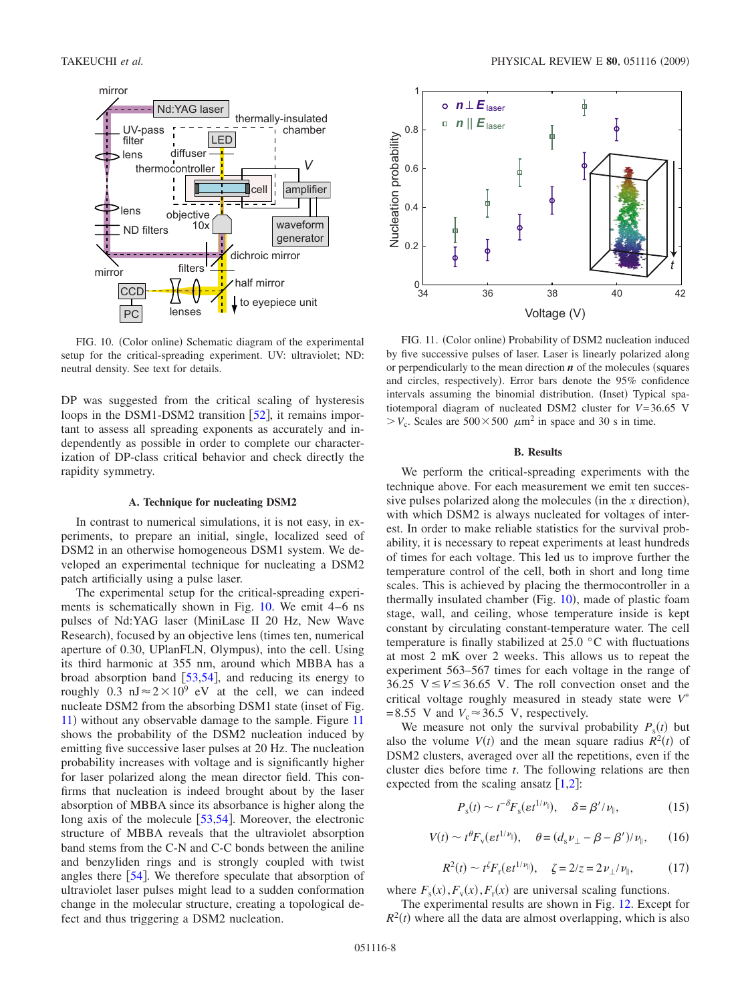<span id="page-7-0"></span>

FIG. 10. (Color online) Schematic diagram of the experimental setup for the critical-spreading experiment. UV: ultraviolet; ND: neutral density. See text for details.

DP was suggested from the critical scaling of hysteresis loops in the DSM1-DSM2 transition  $[52]$  $[52]$  $[52]$ , it remains important to assess all spreading exponents as accurately and independently as possible in order to complete our characterization of DP-class critical behavior and check directly the rapidity symmetry.

#### **A. Technique for nucleating DSM2**

In contrast to numerical simulations, it is not easy, in experiments, to prepare an initial, single, localized seed of DSM2 in an otherwise homogeneous DSM1 system. We developed an experimental technique for nucleating a DSM2 patch artificially using a pulse laser.

The experimental setup for the critical-spreading experiments is schematically shown in Fig. [10.](#page-7-0) We emit 4–6 ns pulses of Nd:YAG laser (MiniLase II 20 Hz, New Wave Research), focused by an objective lens (times ten, numerical aperture of 0.30, UPlanFLN, Olympus), into the cell. Using its third harmonic at 355 nm, around which MBBA has a broad absorption band  $\left[53,54\right]$  $\left[53,54\right]$  $\left[53,54\right]$  $\left[53,54\right]$ , and reducing its energy to roughly 0.3 nJ $\approx$ 2 $\times$ 10<sup>9</sup> eV at the cell, we can indeed nucleate DSM2 from the absorbing DSM1 state (inset of Fig. [11](#page-7-1)) without any observable damage to the sample. Figure 11 shows the probability of the DSM2 nucleation induced by emitting five successive laser pulses at 20 Hz. The nucleation probability increases with voltage and is significantly higher for laser polarized along the mean director field. This confirms that nucleation is indeed brought about by the laser absorption of MBBA since its absorbance is higher along the long axis of the molecule  $[53,54]$  $[53,54]$  $[53,54]$  $[53,54]$ . Moreover, the electronic structure of MBBA reveals that the ultraviolet absorption band stems from the C-N and C-C bonds between the aniline and benzyliden rings and is strongly coupled with twist angles there  $\lceil 54 \rceil$  $\lceil 54 \rceil$  $\lceil 54 \rceil$ . We therefore speculate that absorption of ultraviolet laser pulses might lead to a sudden conformation change in the molecular structure, creating a topological defect and thus triggering a DSM2 nucleation.

<span id="page-7-1"></span>

FIG. 11. (Color online) Probability of DSM2 nucleation induced by five successive pulses of laser. Laser is linearly polarized along or perpendicularly to the mean direction  $n$  of the molecules (squares and circles, respectively). Error bars denote the 95% confidence intervals assuming the binomial distribution. (Inset) Typical spatiotemporal diagram of nucleated DSM2 cluster for *V*=36.65 V  $>V_c$ . Scales are 500 $\times$ 500  $\mu$ m<sup>2</sup> in space and 30 s in time.

## **B. Results**

We perform the critical-spreading experiments with the technique above. For each measurement we emit ten successive pulses polarized along the molecules (in the  $x$  direction), with which DSM2 is always nucleated for voltages of interest. In order to make reliable statistics for the survival probability, it is necessary to repeat experiments at least hundreds of times for each voltage. This led us to improve further the temperature control of the cell, both in short and long time scales. This is achieved by placing the thermocontroller in a thermally insulated chamber (Fig. [10](#page-7-0)), made of plastic foam stage, wall, and ceiling, whose temperature inside is kept constant by circulating constant-temperature water. The cell temperature is finally stabilized at 25.0 °C with fluctuations at most 2 mK over 2 weeks. This allows us to repeat the experiment 563–567 times for each voltage in the range of 36.25  $V \le V \le 36.65$  V. The roll convection onset and the critical voltage roughly measured in steady state were *V*- =8.55 V and  $V_c \approx 36.5$  V, respectively.

We measure not only the survival probability  $P_s(t)$  but also the volume  $V(t)$  and the mean square radius  $R^2(t)$  of DSM2 clusters, averaged over all the repetitions, even if the cluster dies before time *t*. The following relations are then expected from the scaling ansatz  $[1,2]$  $[1,2]$  $[1,2]$  $[1,2]$ :

$$
P_{\rm s}(t) \sim t^{-\delta} F_{\rm s}(\varepsilon t^{1/\nu_{\parallel}}), \quad \delta = \beta'/\nu_{\parallel}, \tag{15}
$$

<span id="page-7-2"></span>
$$
V(t) \sim t^{\theta} F_{\mathbf{v}}(\varepsilon t^{1/\nu_{\parallel}}), \quad \theta = (d_s \nu_{\perp} - \beta - \beta')/\nu_{\parallel}, \qquad (16)
$$

$$
R^2(t) \sim t^{\zeta} F_{\rm r}(\varepsilon t^{1/\nu_{\parallel}}), \quad \zeta = 2/z = 2\nu_{\perp}/\nu_{\parallel},
$$
 (17)

<span id="page-7-3"></span>where  $F_s(x)$ ,  $F_v(x)$ ,  $F_r(x)$  are universal scaling functions.

The experimental results are shown in Fig. [12.](#page-8-1) Except for  $R^2(t)$  where all the data are almost overlapping, which is also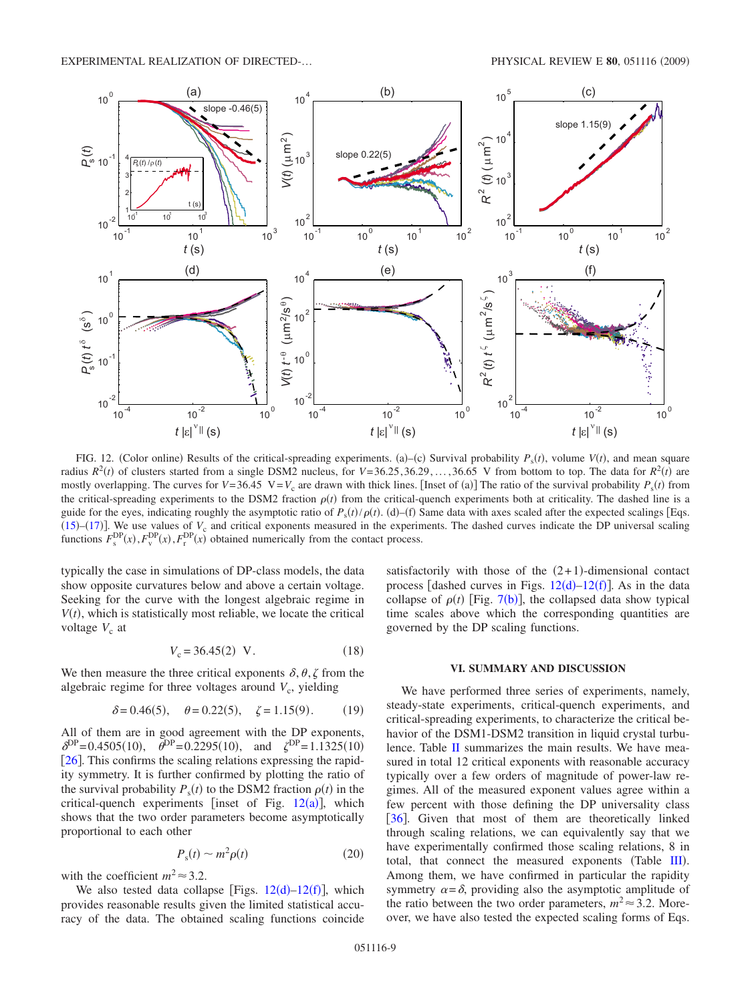<span id="page-8-1"></span>

FIG. 12. (Color online) Results of the critical-spreading experiments. (a)–(c) Survival probability  $P_s(t)$ , volume  $V(t)$ , and mean square radius  $R^2(t)$  of clusters started from a single DSM2 nucleus, for  $V=36.25,36.29,...,36.65$  V from bottom to top. The data for  $R^2(t)$  are mostly overlapping. The curves for  $V=36.45$  V =  $V_c$  are drawn with thick lines. [Inset of (a)] The ratio of the survival probability  $P_s(t)$  from the critical-spreading experiments to the DSM2 fraction  $\rho(t)$  from the critical-quench experiments both at criticality. The dashed line is a guide for the eyes, indicating roughly the asymptotic ratio of  $P_s(t)/\rho(t)$ . (d)–(f) Same data with axes scaled after the expected scalings [Eqs.  $(15)$  $(15)$  $(15)$ – $(17)$  $(17)$  $(17)$ ]. We use values of  $V_c$  and critical exponents measured in the experiments. The dashed curves indicate the DP universal scaling functions  $F_s^{\text{DP}}(x)$ ,  $F_v^{\text{DP}}(x)$ ,  $F_r^{\text{DP}}(x)$  obtained numerically from the contact process.

typically the case in simulations of DP-class models, the data show opposite curvatures below and above a certain voltage. Seeking for the curve with the longest algebraic regime in  $V(t)$ , which is statistically most reliable, we locate the critical voltage  $V_c$  at

$$
V_c = 36.45(2) \text{ V.} \tag{18}
$$

We then measure the three critical exponents  $\delta$ ,  $\theta$ ,  $\zeta$  from the algebraic regime for three voltages around  $V_c$ , yielding

$$
\delta = 0.46(5)
$$
,  $\theta = 0.22(5)$ ,  $\zeta = 1.15(9)$ . (19)

<span id="page-8-2"></span>All of them are in good agreement with the DP exponents,  $\delta^{\text{DP}}$ =0.4505(10),  $\theta^{\text{DP}}$ =0.2295(10), and  $\zeta^{\text{DP}}$ =1.1325(10) [ $26$ ]. This confirms the scaling relations expressing the rapidity symmetry. It is further confirmed by plotting the ratio of the survival probability  $P_s(t)$  to the DSM2 fraction  $\rho(t)$  in the critical-quench experiments [inset of Fig.  $12(a)$  $12(a)$ ], which shows that the two order parameters become asymptotically proportional to each other

$$
P_{\rm s}(t) \sim m^2 \rho(t) \tag{20}
$$

with the coefficient  $m^2 \approx 3.2$ .

We also tested data collapse [Figs.  $12(d)-12(f)$  $12(d)-12(f)$ ], which provides reasonable results given the limited statistical accuracy of the data. The obtained scaling functions coincide

satisfactorily with those of the  $(2+1)$ -dimensional contact process [dashed curves in Figs.  $12(d) - 12(f)$  $12(d) - 12(f)$ ]. As in the data collapse of  $\rho(t)$  [Fig. [7](#page-5-1)(b)], the collapsed data show typical time scales above which the corresponding quantities are governed by the DP scaling functions.

### **VI. SUMMARY AND DISCUSSION**

<span id="page-8-0"></span>We have performed three series of experiments, namely, steady-state experiments, critical-quench experiments, and critical-spreading experiments, to characterize the critical behavior of the DSM1-DSM2 transition in liquid crystal turbulence. Table [II](#page-9-0) summarizes the main results. We have measured in total 12 critical exponents with reasonable accuracy typically over a few orders of magnitude of power-law regimes. All of the measured exponent values agree within a few percent with those defining the DP universality class [[36](#page-11-18)]. Given that most of them are theoretically linked through scaling relations, we can equivalently say that we have experimentally confirmed those scaling relations, 8 in total, that connect the measured exponents (Table [III](#page-9-1)). Among them, we have confirmed in particular the rapidity symmetry  $\alpha = \delta$ , providing also the asymptotic amplitude of the ratio between the two order parameters,  $m^2 \approx 3.2$ . Moreover, we have also tested the expected scaling forms of Eqs.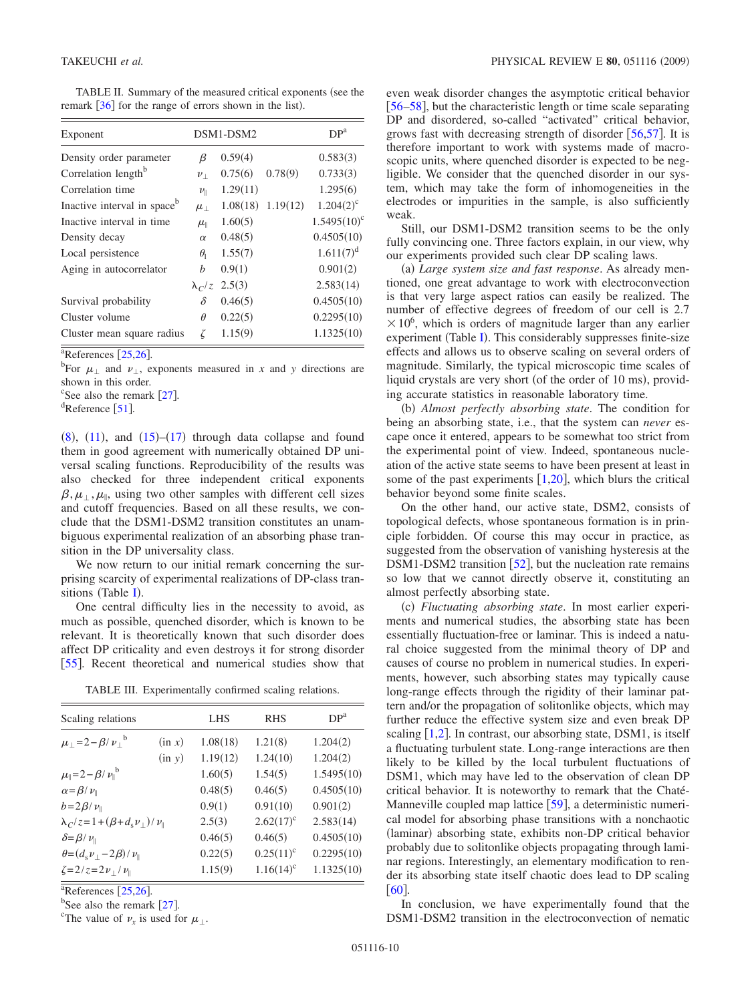<span id="page-9-0"></span>TABLE II. Summary of the measured critical exponents (see the remark  $[36]$  $[36]$  $[36]$  for the range of errors shown in the list).

| Exponent                                |                   | DSM1-DSM2 | DP <sup>a</sup> |                |
|-----------------------------------------|-------------------|-----------|-----------------|----------------|
| Density order parameter                 | β                 | 0.59(4)   |                 | 0.583(3)       |
| Correlation length <sup>b</sup>         | $\nu_{\perp}$     | 0.75(6)   | 0.78(9)         | 0.733(3)       |
| Correlation time                        | $\nu_{\parallel}$ | 1.29(11)  |                 | 1.295(6)       |
| Inactive interval in space <sup>b</sup> | $\mu_{\perp}$     | 1.08(18)  | 1.19(12)        | $1.204(2)^{c}$ |
| Inactive interval in time               | $\mu_{\parallel}$ | 1.60(5)   |                 | $1.5495(10)^c$ |
| Density decay                           | $\alpha$          | 0.48(5)   |                 | 0.4505(10)     |
| Local persistence                       | $\theta_{\rm l}$  | 1.55(7)   |                 | $1.611(7)^d$   |
| Aging in autocorrelator                 | h                 | 0.9(1)    |                 | 0.901(2)       |
|                                         | $\lambda_C$ /z    | 2.5(3)    |                 | 2.583(14)      |
| Survival probability                    | δ                 | 0.46(5)   |                 | 0.4505(10)     |
| Cluster volume                          | $\theta$          | 0.22(5)   |                 | 0.2295(10)     |
| Cluster mean square radius              | ζ                 | 1.15(9)   |                 | 1.1325(10)     |

 $a^{\text{h}}$ References [[25](#page-11-13)[,26](#page-11-14)].

For  $\mu_{\perp}$  and  $\nu_{\perp}$ , exponents measured in *x* and *y* directions are shown in this order.

<sup>c</sup>See also the remark [[27](#page-11-15)].

 ${}^{d}$ Reference [[51](#page-11-31)].

 $(8)$  $(8)$  $(8)$ ,  $(11)$  $(11)$  $(11)$ , and  $(15)$  $(15)$  $(15)$ – $(17)$  $(17)$  $(17)$  through data collapse and found them in good agreement with numerically obtained DP universal scaling functions. Reproducibility of the results was also checked for three independent critical exponents  $\beta, \mu_{\perp}, \mu_{\parallel}$ , using two other samples with different cell sizes and cutoff frequencies. Based on all these results, we conclude that the DSM1-DSM2 transition constitutes an unambiguous experimental realization of an absorbing phase transition in the DP universality class.

We now return to our initial remark concerning the surprising scarcity of experimental realizations of DP-class tran-sitions (Table [I](#page-1-0)).

One central difficulty lies in the necessity to avoid, as much as possible, quenched disorder, which is known to be relevant. It is theoretically known that such disorder does affect DP criticality and even destroys it for strong disorder [[55](#page-11-36)]. Recent theoretical and numerical studies show that

TABLE III. Experimentally confirmed scaling relations.

<span id="page-9-1"></span>

| Scaling relations                                                 |                  | <b>LHS</b> | <b>RHS</b>   | DP <sup>a</sup> |
|-------------------------------------------------------------------|------------------|------------|--------------|-----------------|
| $\mu_{\perp} = 2 - \beta / \nu_{\perp}^{b}$                       | $(\text{in } x)$ | 1.08(18)   | 1.21(8)      | 1.204(2)        |
|                                                                   | (in y)           | 1.19(12)   | 1.24(10)     | 1.204(2)        |
| $\mu_{\parallel} = 2 - \beta / \nu_{\parallel}^{\rm b}$           |                  | 1.60(5)    | 1.54(5)      | 1.5495(10)      |
| $\alpha = \beta / \nu_{\parallel}$                                |                  | 0.48(5)    | 0.46(5)      | 0.4505(10)      |
| $b=2\beta/\nu_{\parallel}$                                        |                  | 0.9(1)     | 0.91(10)     | 0.901(2)        |
| $\lambda_C / z = 1 + (\beta + d_s \nu_{\perp}) / \nu_{\parallel}$ |                  | 2.5(3)     | $2.62(17)^c$ | 2.583(14)       |
| $\delta = \beta / \nu_{\parallel}$                                |                  | 0.46(5)    | 0.46(5)      | 0.4505(10)      |
| $\theta = (d_s \nu_1 - 2\beta)/\nu_{\parallel}$                   |                  | 0.22(5)    | $0.25(11)^c$ | 0.2295(10)      |
| $\zeta = 2/z = 2\nu_{\perp}/\nu_{\parallel}$                      |                  | 1.15(9)    | $1.16(14)^c$ | 1.1325(10)      |

 $a_{\text{References}}$  [[25](#page-11-13)[,26](#page-11-14)].

 $b$ See also the remark  $[27]$  $[27]$  $[27]$ .

The value of  $\nu_x$  is used for  $\mu_{\perp}$ .

even weak disorder changes the asymptotic critical behavior [[56](#page-11-37)[–58](#page-11-38)], but the characteristic length or time scale separating DP and disordered, so-called "activated" critical behavior, grows fast with decreasing strength of disorder  $[56,57]$  $[56,57]$  $[56,57]$  $[56,57]$ . It is therefore important to work with systems made of macroscopic units, where quenched disorder is expected to be negligible. We consider that the quenched disorder in our system, which may take the form of inhomogeneities in the electrodes or impurities in the sample, is also sufficiently weak.

Still, our DSM1-DSM2 transition seems to be the only fully convincing one. Three factors explain, in our view, why our experiments provided such clear DP scaling laws.

(a) Large system size and fast response. As already mentioned, one great advantage to work with electroconvection is that very large aspect ratios can easily be realized. The number of effective degrees of freedom of our cell is 2.7  $\times$  10<sup>6</sup>, which is orders of magnitude larger than any earlier experiment (Table [I](#page-1-0)). This considerably suppresses finite-size effects and allows us to observe scaling on several orders of magnitude. Similarly, the typical microscopic time scales of liquid crystals are very short (of the order of 10 ms), providing accurate statistics in reasonable laboratory time.

(b) Almost perfectly absorbing state. The condition for being an absorbing state, i.e., that the system can *never* escape once it entered, appears to be somewhat too strict from the experimental point of view. Indeed, spontaneous nucleation of the active state seems to have been present at least in some of the past experiments  $[1,20]$  $[1,20]$  $[1,20]$  $[1,20]$ , which blurs the critical behavior beyond some finite scales.

On the other hand, our active state, DSM2, consists of topological defects, whose spontaneous formation is in principle forbidden. Of course this may occur in practice, as suggested from the observation of vanishing hysteresis at the DSM1-DSM2 transition  $[52]$  $[52]$  $[52]$ , but the nucleation rate remains so low that we cannot directly observe it, constituting an almost perfectly absorbing state.

(c) Fluctuating absorbing state. In most earlier experiments and numerical studies, the absorbing state has been essentially fluctuation-free or laminar. This is indeed a natural choice suggested from the minimal theory of DP and causes of course no problem in numerical studies. In experiments, however, such absorbing states may typically cause long-range effects through the rigidity of their laminar pattern and/or the propagation of solitonlike objects, which may further reduce the effective system size and even break DP scaling  $[1,2]$  $[1,2]$  $[1,2]$  $[1,2]$ . In contrast, our absorbing state, DSM1, is itself a fluctuating turbulent state. Long-range interactions are then likely to be killed by the local turbulent fluctuations of DSM1, which may have led to the observation of clean DP critical behavior. It is noteworthy to remark that the Chaté-Manneville coupled map lattice  $[59]$  $[59]$  $[59]$ , a deterministic numerical model for absorbing phase transitions with a nonchaotic (laminar) absorbing state, exhibits non-DP critical behavior probably due to solitonlike objects propagating through laminar regions. Interestingly, an elementary modification to render its absorbing state itself chaotic does lead to DP scaling  $\lceil 60 \rceil$  $\lceil 60 \rceil$  $\lceil 60 \rceil$ .

In conclusion, we have experimentally found that the DSM1-DSM2 transition in the electroconvection of nematic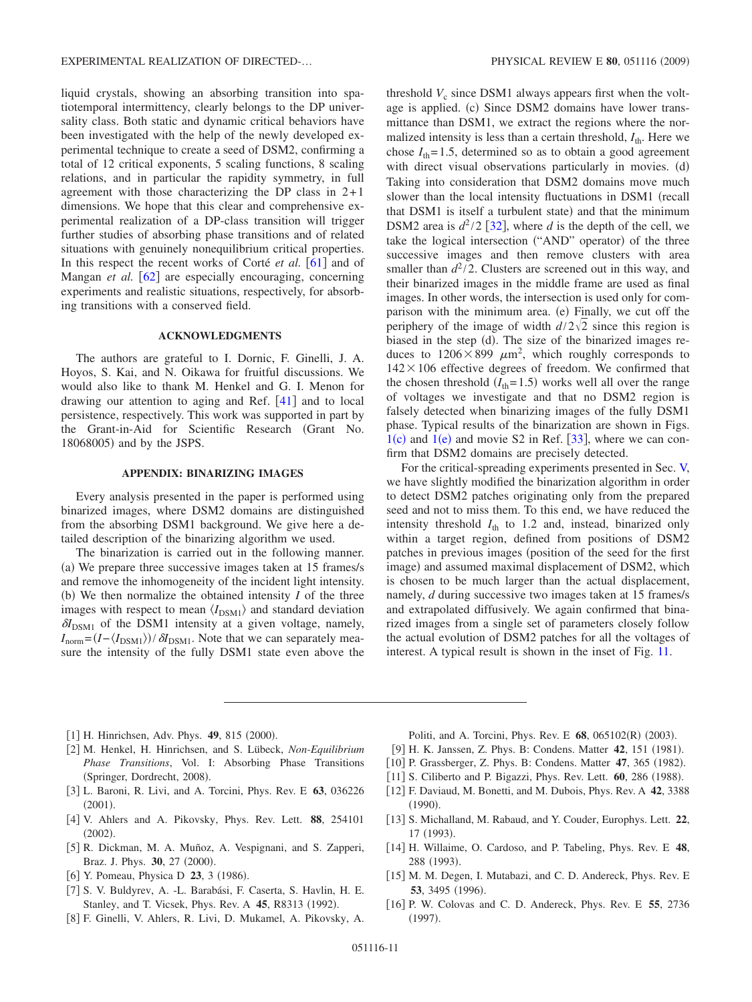liquid crystals, showing an absorbing transition into spatiotemporal intermittency, clearly belongs to the DP universality class. Both static and dynamic critical behaviors have been investigated with the help of the newly developed experimental technique to create a seed of DSM2, confirming a total of 12 critical exponents, 5 scaling functions, 8 scaling relations, and in particular the rapidity symmetry, in full agreement with those characterizing the DP class in  $2+1$ dimensions. We hope that this clear and comprehensive experimental realization of a DP-class transition will trigger further studies of absorbing phase transitions and of related situations with genuinely nonequilibrium critical properties. In this respect the recent works of Corté *et al.* [[61](#page-11-42)] and of Mangan *et al.* [[62](#page-11-43)] are especially encouraging, concerning experiments and realistic situations, respectively, for absorbing transitions with a conserved field.

## **ACKNOWLEDGMENTS**

The authors are grateful to I. Dornic, F. Ginelli, J. A. Hoyos, S. Kai, and N. Oikawa for fruitful discussions. We would also like to thank M. Henkel and G. I. Menon for drawing our attention to aging and Ref.  $[41]$  $[41]$  $[41]$  and to local persistence, respectively. This work was supported in part by the Grant-in-Aid for Scientific Research Grant No. 18068005) and by the JSPS.

### **APPENDIX: BINARIZING IMAGES**

Every analysis presented in the paper is performed using binarized images, where DSM2 domains are distinguished from the absorbing DSM1 background. We give here a detailed description of the binarizing algorithm we used.

The binarization is carried out in the following manner. (a) We prepare three successive images taken at 15 frames/s and remove the inhomogeneity of the incident light intensity. (b) We then normalize the obtained intensity  $I$  of the three images with respect to mean  $\langle I_{\text{DSM1}} \rangle$  and standard deviation  $\delta l_{\text{DSM1}}$  of the DSM1 intensity at a given voltage, namely,  $I_{\text{norm}} = (I - \langle I_{\text{DSM1}} \rangle) / \delta I_{\text{DSM1}}$ . Note that we can separately measure the intensity of the fully DSM1 state even above the

threshold  $V_c$  since DSM1 always appears first when the voltage is applied. (c) Since DSM2 domains have lower transmittance than DSM1, we extract the regions where the normalized intensity is less than a certain threshold,  $I_{\text{th}}$ . Here we chose  $I_{\text{th}}=1.5$ , determined so as to obtain a good agreement with direct visual observations particularly in movies. (d) Taking into consideration that DSM2 domains move much slower than the local intensity fluctuations in DSM1 (recall that DSM1 is itself a turbulent state) and that the minimum DSM2 area is  $d^2/2$  [[32](#page-11-5)], where *d* is the depth of the cell, we take the logical intersection ("AND" operator) of the three successive images and then remove clusters with area smaller than  $d^2/2$ . Clusters are screened out in this way, and their binarized images in the middle frame are used as final images. In other words, the intersection is used only for comparison with the minimum area. (e) Finally, we cut off the periphery of the image of width  $d/2\sqrt{2}$  since this region is biased in the step (d). The size of the binarized images reduces to  $1206 \times 899 \mu m^2$ , which roughly corresponds to  $142 \times 106$  effective degrees of freedom. We confirmed that the chosen threshold  $(I_{\text{th}}=1.5)$  works well all over the range of voltages we investigate and that no DSM2 region is falsely detected when binarizing images of the fully DSM1 phase. Typical results of the binarization are shown in Figs.  $1(c)$  $1(c)$  and  $1(e)$  and movie S2 in Ref. [[33](#page-11-16)], where we can confirm that DSM2 domains are precisely detected.

For the critical-spreading experiments presented in Sec. [V,](#page-6-0) we have slightly modified the binarization algorithm in order to detect DSM2 patches originating only from the prepared seed and not to miss them. To this end, we have reduced the intensity threshold  $I_{th}$  to 1.2 and, instead, binarized only within a target region, defined from positions of DSM2 patches in previous images (position of the seed for the first image) and assumed maximal displacement of DSM2, which is chosen to be much larger than the actual displacement, namely, *d* during successive two images taken at 15 frames/s and extrapolated diffusively. We again confirmed that binarized images from a single set of parameters closely follow the actual evolution of DSM2 patches for all the voltages of interest. A typical result is shown in the inset of Fig. [11.](#page-7-1)

- <span id="page-10-0"></span>[1] H. Hinrichsen, Adv. Phys. 49, 815 (2000).
- <span id="page-10-1"></span>2 M. Henkel, H. Hinrichsen, and S. Lübeck, *Non-Equilibrium Phase Transitions*, Vol. I: Absorbing Phase Transitions (Springer, Dordrecht, 2008).
- <span id="page-10-2"></span>3 L. Baroni, R. Livi, and A. Torcini, Phys. Rev. E **63**, 036226  $(2001).$
- <span id="page-10-3"></span>4 V. Ahlers and A. Pikovsky, Phys. Rev. Lett. **88**, 254101  $(2002).$
- <span id="page-10-4"></span>[5] R. Dickman, M. A. Muñoz, A. Vespignani, and S. Zapperi, Braz. J. Phys. 30, 27 (2000).
- <span id="page-10-5"></span>[6] Y. Pomeau, Physica D 23, 3 (1986).
- <span id="page-10-6"></span>[7] S. V. Buldyrev, A. -L. Barabási, F. Caserta, S. Havlin, H. E. Stanley, and T. Vicsek, Phys. Rev. A 45, R8313 (1992).
- <span id="page-10-7"></span>8 F. Ginelli, V. Ahlers, R. Livi, D. Mukamel, A. Pikovsky, A.

Politi, and A. Torcini, Phys. Rev. E 68, 065102(R) (2003).

- <span id="page-10-8"></span>[9] H. K. Janssen, Z. Phys. B: Condens. Matter 42, 151 (1981).
- <span id="page-10-9"></span>[10] P. Grassberger, Z. Phys. B: Condens. Matter 47, 365 (1982).
- <span id="page-10-10"></span>[11] S. Ciliberto and P. Bigazzi, Phys. Rev. Lett. 60, 286 (1988).
- <span id="page-10-11"></span>12 F. Daviaud, M. Bonetti, and M. Dubois, Phys. Rev. A **42**, 3388  $(1990).$
- <span id="page-10-12"></span>13 S. Michalland, M. Rabaud, and Y. Couder, Europhys. Lett. **22**, 17 (1993).
- <span id="page-10-13"></span>14 H. Willaime, O. Cardoso, and P. Tabeling, Phys. Rev. E **48**, 288 (1993).
- <span id="page-10-14"></span>[15] M. M. Degen, I. Mutabazi, and C. D. Andereck, Phys. Rev. E **53**, 3495 (1996).
- <span id="page-10-15"></span>16 P. W. Colovas and C. D. Andereck, Phys. Rev. E **55**, 2736  $(1997).$